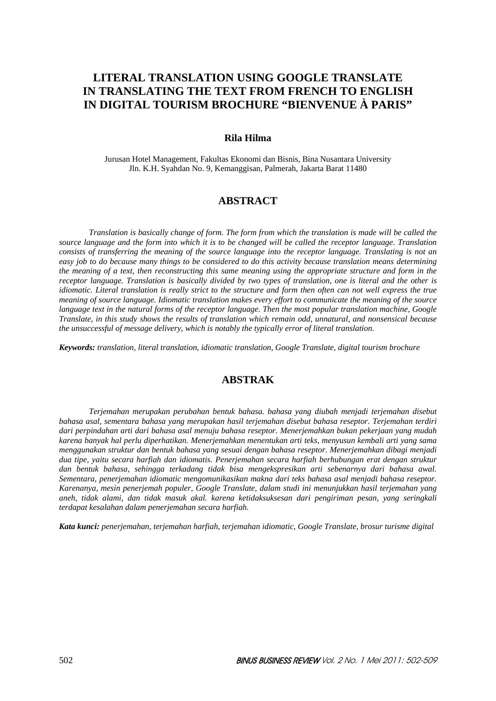# **LITERAL TRANSLATION USING GOOGLE TRANSLATE IN TRANSLATING THE TEXT FROM FRENCH TO ENGLISH IN DIGITAL TOURISM BROCHURE "BIENVENUE À PARIS"**

### **Rila Hilma**

Jurusan Hotel Management, Fakultas Ekonomi dan Bisnis, Bina Nusantara University Jln. K.H. Syahdan No. 9, Kemanggisan, Palmerah, Jakarta Barat 11480

## **ABSTRACT**

*Translation is basically change of form. The form from which the translation is made will be called the source language and the form into which it is to be changed will be called the receptor language. Translation consists of transferring the meaning of the source language into the receptor language. Translating is not an easy job to do because many things to be considered to do this activity because translation means determining the meaning of a text, then reconstructing this same meaning using the appropriate structure and form in the receptor language. Translation is basically divided by two types of translation, one is literal and the other is idiomatic. Literal translation is really strict to the structure and form then often can not well express the true meaning of source language. Idiomatic translation makes every effort to communicate the meaning of the source language text in the natural forms of the receptor language. Then the most popular translation machine, Google Translate, in this study shows the results of translation which remain odd, unnatural, and nonsensical because the unsuccessful of message delivery, which is notably the typically error of literal translation.* 

*Keywords: translation, literal translation, idiomatic translation, Google Translate, digital tourism brochure* 

# **ABSTRAK**

*Terjemahan merupakan perubahan bentuk bahasa. bahasa yang diubah menjadi terjemahan disebut bahasa asal, sementara bahasa yang merupakan hasil terjemahan disebut bahasa reseptor. Terjemahan terdiri dari perpindahan arti dari bahasa asal menuju bahasa reseptor. Menerjemahkan bukan pekerjaan yang mudah karena banyak hal perlu diperhatikan. Menerjemahkan menentukan arti teks, menyusun kembali arti yang sama menggunakan struktur dan bentuk bahasa yang sesuai dengan bahasa reseptor. Menerjemahkan dibagi menjadi dua tipe, yaitu secara harfiah dan idiomatis. Penerjemahan secara harfiah berhubungan erat dengan struktur dan bentuk bahasa, sehingga terkadang tidak bisa mengekspresikan arti sebenarnya dari bahasa awal. Sementara, penerjemahan idiomatic mengomunikasikan makna dari teks bahasa asal menjadi bahasa reseptor. Karenanya, mesin penerjemah populer, Google Translate, dalam studi ini menunjukkan hasil terjemahan yang aneh, tidak alami, dan tidak masuk akal. karena ketidaksuksesan dari pengiriman pesan, yang seringkali terdapat kesalahan dalam penerjemahan secara harfiah.* 

*Kata kunci: penerjemahan, terjemahan harfiah, terjemahan idiomatic, Google Translate, brosur turisme digital*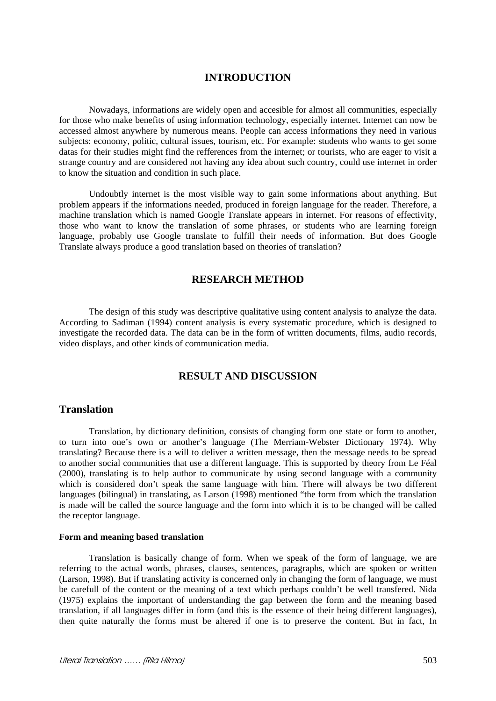### **INTRODUCTION**

Nowadays, informations are widely open and accesible for almost all communities, especially for those who make benefits of using information technology, especially internet. Internet can now be accessed almost anywhere by numerous means. People can access informations they need in various subjects: economy, politic, cultural issues, tourism, etc. For example: students who wants to get some datas for their studies might find the refferences from the internet; or tourists, who are eager to visit a strange country and are considered not having any idea about such country, could use internet in order to know the situation and condition in such place.

Undoubtly internet is the most visible way to gain some informations about anything. But problem appears if the informations needed, produced in foreign language for the reader. Therefore, a machine translation which is named Google Translate appears in internet. For reasons of effectivity, those who want to know the translation of some phrases, or students who are learning foreign language, probably use Google translate to fulfill their needs of information. But does Google Translate always produce a good translation based on theories of translation?

## **RESEARCH METHOD**

 The design of this study was descriptive qualitative using content analysis to analyze the data. According to Sadiman (1994) content analysis is every systematic procedure, which is designed to investigate the recorded data. The data can be in the form of written documents, films, audio records, video displays, and other kinds of communication media.

## **RESULT AND DISCUSSION**

### **Translation**

Translation, by dictionary definition, consists of changing form one state or form to another, to turn into one's own or another's language (The Merriam-Webster Dictionary 1974). Why translating? Because there is a will to deliver a written message, then the message needs to be spread to another social communities that use a different language. This is supported by theory from Le Féal (2000), translating is to help author to communicate by using second language with a community which is considered don't speak the same language with him. There will always be two different languages (bilingual) in translating, as Larson (1998) mentioned "the form from which the translation is made will be called the source language and the form into which it is to be changed will be called the receptor language.

#### **Form and meaning based translation**

Translation is basically change of form. When we speak of the form of language, we are referring to the actual words, phrases, clauses, sentences, paragraphs, which are spoken or written (Larson, 1998). But if translating activity is concerned only in changing the form of language, we must be carefull of the content or the meaning of a text which perhaps couldn't be well transfered. Nida (1975) explains the important of understanding the gap between the form and the meaning based translation, if all languages differ in form (and this is the essence of their being different languages), then quite naturally the forms must be altered if one is to preserve the content. But in fact, In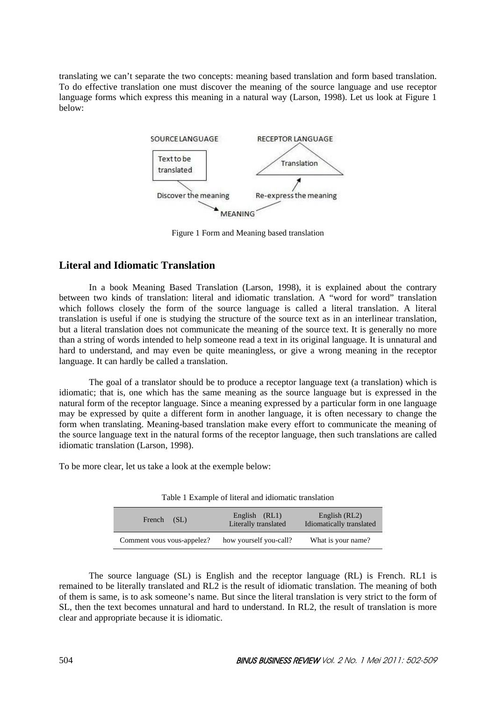translating we can't separate the two concepts: meaning based translation and form based translation. To do effective translation one must discover the meaning of the source language and use receptor language forms which express this meaning in a natural way (Larson, 1998). Let us look at Figure 1 below:



Figure 1 Form and Meaning based translation

## **Literal and Idiomatic Translation**

In a book Meaning Based Translation (Larson, 1998), it is explained about the contrary between two kinds of translation: literal and idiomatic translation. A "word for word" translation which follows closely the form of the source language is called a literal translation. A literal translation is useful if one is studying the structure of the source text as in an interlinear translation, but a literal translation does not communicate the meaning of the source text. It is generally no more than a string of words intended to help someone read a text in its original language. It is unnatural and hard to understand, and may even be quite meaningless, or give a wrong meaning in the receptor language. It can hardly be called a translation.

The goal of a translator should be to produce a receptor language text (a translation) which is idiomatic; that is, one which has the same meaning as the source language but is expressed in the natural form of the receptor language. Since a meaning expressed by a particular form in one language may be expressed by quite a different form in another language, it is often necessary to change the form when translating. Meaning-based translation make every effort to communicate the meaning of the source language text in the natural forms of the receptor language, then such translations are called idiomatic translation (Larson, 1998).

To be more clear, let us take a look at the exemple below:

| Tuble 1 Example of meral and raiomatic translation |                                       |                                           |  |
|----------------------------------------------------|---------------------------------------|-------------------------------------------|--|
| French (SL)                                        | English (RL1)<br>Literally translated | English (RL2)<br>Idiomatically translated |  |
| Comment vous vous-appelez?                         | how yourself you-call?                | What is your name?                        |  |

Table 1 Example of literal and idiomatic translation

The source language (SL) is English and the receptor language (RL) is French. RL1 is remained to be literally translated and RL2 is the result of idiomatic translation. The meaning of both of them is same, is to ask someone's name. But since the literal translation is very strict to the form of SL, then the text becomes unnatural and hard to understand. In RL2, the result of translation is more clear and appropriate because it is idiomatic.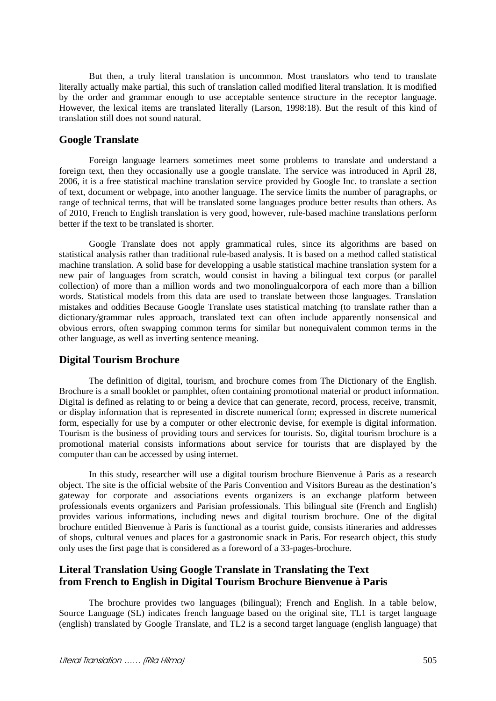But then, a truly literal translation is uncommon. Most translators who tend to translate literally actually make partial, this such of translation called modified literal translation. It is modified by the order and grammar enough to use acceptable sentence structure in the receptor language. However, the lexical items are translated literally (Larson, 1998:18). But the result of this kind of translation still does not sound natural.

### **Google Translate**

Foreign language learners sometimes meet some problems to translate and understand a foreign text, then they occasionally use a google translate. The service was introduced in April 28, 2006, it is a free statistical machine translation service provided by Google Inc. to translate a section of text, document or webpage, into another language. The service limits the number of paragraphs, or range of technical terms, that will be translated some languages produce better results than others. As of 2010, French to English translation is very good, however, rule-based machine translations perform better if the text to be translated is shorter.

Google Translate does not apply grammatical rules, since its algorithms are based on statistical analysis rather than traditional rule-based analysis. It is based on a method called statistical machine translation. A solid base for developping a usable statistical machine translation system for a new pair of languages from scratch, would consist in having a bilingual text corpus (or parallel collection) of more than a million words and two monolingualcorpora of each more than a billion words. Statistical models from this data are used to translate between those languages. Translation mistakes and oddities Because Google Translate uses statistical matching (to translate rather than a dictionary/grammar rules approach, translated text can often include apparently nonsensical and obvious errors, often swapping common terms for similar but nonequivalent common terms in the other language, as well as inverting sentence meaning.

### **Digital Tourism Brochure**

The definition of digital, tourism, and brochure comes from The Dictionary of the English. Brochure is a small booklet or pamphlet, often containing promotional material or product information. Digital is defined as relating to or being a device that can generate, record, process, receive, transmit, or display information that is represented in discrete numerical form; expressed in discrete numerical form, especially for use by a computer or other electronic devise, for exemple is digital information. Tourism is the business of providing tours and services for tourists. So, digital tourism brochure is a promotional material consists informations about service for tourists that are displayed by the computer than can be accessed by using internet.

In this study, researcher will use a digital tourism brochure Bienvenue à Paris as a research object. The site is the official website of the Paris Convention and Visitors Bureau as the destination's gateway for corporate and associations events organizers is an exchange platform between professionals events organizers and Parisian professionals. This bilingual site (French and English) provides various informations, including news and digital tourism brochure. One of the digital brochure entitled Bienvenue à Paris is functional as a tourist guide, consists itineraries and addresses of shops, cultural venues and places for a gastronomic snack in Paris. For research object, this study only uses the first page that is considered as a foreword of a 33-pages-brochure.

## **Literal Translation Using Google Translate in Translating the Text from French to English in Digital Tourism Brochure Bienvenue à Paris**

The brochure provides two languages (bilingual); French and English. In a table below, Source Language (SL) indicates french language based on the original site, TL1 is target language (english) translated by Google Translate, and TL2 is a second target language (english language) that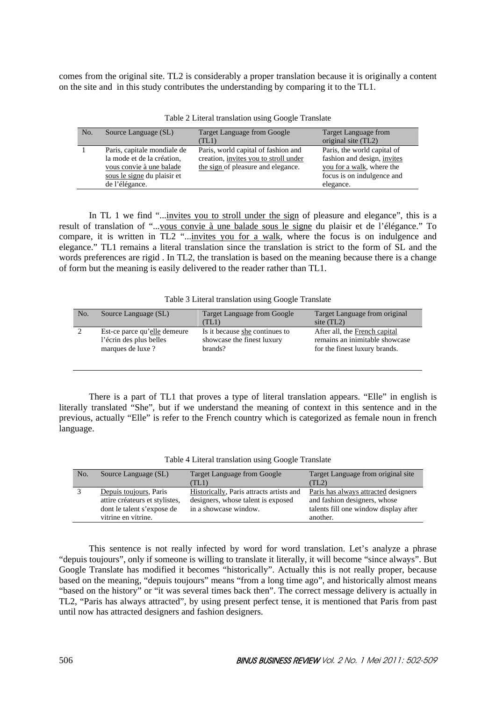comes from the original site. TL2 is considerably a proper translation because it is originally a content on the site and in this study contributes the understanding by comparing it to the TL1.

| No. | Source Language (SL)                                                                                                                   | <b>Target Language from Google</b><br>(TL1)                                                                        | Target Language from<br>original site (TL2)                                                                                               |
|-----|----------------------------------------------------------------------------------------------------------------------------------------|--------------------------------------------------------------------------------------------------------------------|-------------------------------------------------------------------------------------------------------------------------------------------|
|     | Paris, capitale mondiale de<br>la mode et de la création,<br>vous convie à une balade<br>sous le signe du plaisir et<br>de l'élégance. | Paris, world capital of fashion and<br>creation, invites you to stroll under<br>the sign of pleasure and elegance. | Paris, the world capital of<br>fashion and design, <i>invites</i><br>you for a walk, where the<br>focus is on indulgence and<br>elegance. |

Table 2 Literal translation using Google Translate

In TL 1 we find "...invites you to stroll under the sign of pleasure and elegance", this is a result of translation of "...vous convie à une balade sous le signe du plaisir et de l'élégance." To compare, it is written in TL2 "...invites you for a walk, where the focus is on indulgence and elegance." TL1 remains a literal translation since the translation is strict to the form of SL and the words preferences are rigid . In TL2, the translation is based on the meaning because there is a change of form but the meaning is easily delivered to the reader rather than TL1.

| Table 3 Literal translation using Google Translate |
|----------------------------------------------------|
|----------------------------------------------------|

| No. | Source Language (SL)         | Target Language from Google<br>(TL1) | Target Language from original<br>site $(TL2)$ |
|-----|------------------------------|--------------------------------------|-----------------------------------------------|
|     | Est-ce parce qu'elle demeure | Is it because she continues to       | After all, the French capital                 |
|     | l'écrin des plus belles      | showcase the finest luxury           | remains an inimitable showcase                |
|     | marques de luxe?             | brands?                              | for the finest luxury brands.                 |

There is a part of TL1 that proves a type of literal translation appears. "Elle" in english is literally translated "She", but if we understand the meaning of context in this sentence and in the previous, actually "Elle" is refer to the French country which is categorized as female noun in french language.

| Table 4 Literal translation using Google Translate |  |  |  |  |
|----------------------------------------------------|--|--|--|--|
|----------------------------------------------------|--|--|--|--|

| No. | Source Language (SL)                                                                                          | <b>Target Language from Google</b><br>(TL1)                                                             | Target Language from original site<br>(TL2)                                                                               |
|-----|---------------------------------------------------------------------------------------------------------------|---------------------------------------------------------------------------------------------------------|---------------------------------------------------------------------------------------------------------------------------|
|     | Depuis toujours, Paris<br>attire créateurs et stylistes,<br>dont le talent s'expose de<br>vitrine en vitrine. | Historically, Paris attracts artists and<br>designers, whose talent is exposed<br>in a showcase window. | Paris has always attracted designers<br>and fashion designers, whose<br>talents fill one window display after<br>another. |

This sentence is not really infected by word for word translation. Let's analyze a phrase "depuis toujours", only if someone is willing to translate it literally, it will become "since always". But Google Translate has modified it becomes "historically". Actually this is not really proper, because based on the meaning, "depuis toujours" means "from a long time ago", and historically almost means "based on the history" or "it was several times back then". The correct message delivery is actually in TL2, "Paris has always attracted", by using present perfect tense, it is mentioned that Paris from past until now has attracted designers and fashion designers.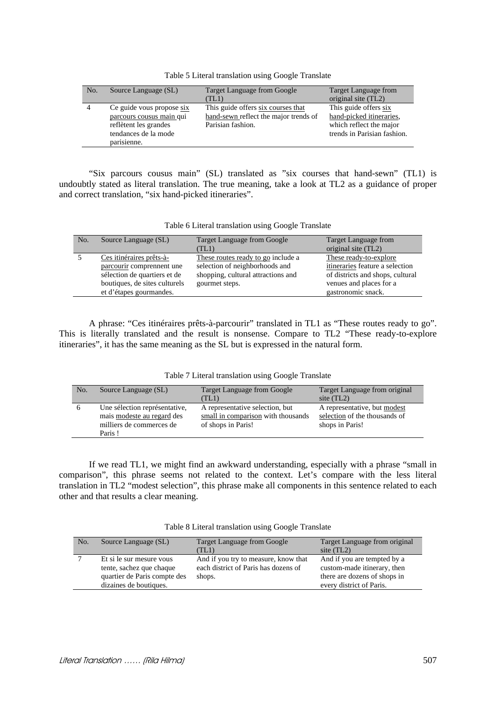| No. | Source Language (SL)                                                                                                  | Target Language from Google<br>(TL1)                                                             | Target Language from<br>original site (TL2)                                                                 |
|-----|-----------------------------------------------------------------------------------------------------------------------|--------------------------------------------------------------------------------------------------|-------------------------------------------------------------------------------------------------------------|
|     | Ce guide vous propose six<br>parcours cousus main qui<br>reflètent les grandes<br>tendances de la mode<br>parisienne. | This guide offers six courses that<br>hand-sewn reflect the major trends of<br>Parisian fashion. | This guide offers six<br>hand-picked itineraries,<br>which reflect the major<br>trends in Parisian fashion. |

Table 5 Literal translation using Google Translate

"Six parcours cousus main" (SL) translated as "six courses that hand-sewn" (TL1) is undoubtly stated as literal translation. The true meaning, take a look at TL2 as a guidance of proper and correct translation, "six hand-picked itineraries".

#### Table 6 Literal translation using Google Translate

| No. | Source Language (SL)                                                                                                                              | <b>Target Language from Google</b><br>(TL1)                                                                                  | Target Language from<br>original site (TL2)                                                                                                    |
|-----|---------------------------------------------------------------------------------------------------------------------------------------------------|------------------------------------------------------------------------------------------------------------------------------|------------------------------------------------------------------------------------------------------------------------------------------------|
|     | Ces itinéraires prêts-à-<br>parcourir comprennent une<br>sélection de quartiers et de<br>boutiques, de sites culturels<br>et d'étapes gourmandes. | These routes ready to go include a<br>selection of neighborhoods and<br>shopping, cultural attractions and<br>gourmet steps. | These ready-to-explore<br>itineraries feature a selection<br>of districts and shops, cultural<br>venues and places for a<br>gastronomic snack. |

A phrase: "Ces itinéraires prêts-à-parcourir" translated in TL1 as "These routes ready to go". This is literally translated and the result is nonsense. Compare to TL2 "These ready-to-explore itineraries", it has the same meaning as the SL but is expressed in the natural form.

|  | Table 7 Literal translation using Google Translate |  |  |
|--|----------------------------------------------------|--|--|
|  |                                                    |  |  |

| No. | Source Language (SL)                                                                              | <b>Target Language from Google</b><br>(TL1)                                                 | Target Language from original<br>site $(TL2)$                                    |
|-----|---------------------------------------------------------------------------------------------------|---------------------------------------------------------------------------------------------|----------------------------------------------------------------------------------|
| n   | Une sélection représentative,<br>mais modeste au regard des<br>milliers de commerces de<br>Paris! | A representative selection, but<br>small in comparison with thousands<br>of shops in Paris! | A representative, but modest<br>selection of the thousands of<br>shops in Paris! |

If we read TL1, we might find an awkward understanding, especially with a phrase "small in comparison", this phrase seems not related to the context. Let's compare with the less literal translation in TL2 "modest selection", this phrase make all components in this sentence related to each other and that results a clear meaning.

Table 8 Literal translation using Google Translate

| No. | Source Language (SL)                                                                                           | Target Language from Google<br>(TL1)                                                   | Target Language from original<br>site $(TL2)$                                                                          |
|-----|----------------------------------------------------------------------------------------------------------------|----------------------------------------------------------------------------------------|------------------------------------------------------------------------------------------------------------------------|
|     | Et si le sur mesure vous<br>tente, sachez que chaque<br>quartier de Paris compte des<br>dizaines de boutiques. | And if you try to measure, know that<br>each district of Paris has dozens of<br>shops. | And if you are tempted by a<br>custom-made itinerary, then<br>there are dozens of shops in<br>every district of Paris. |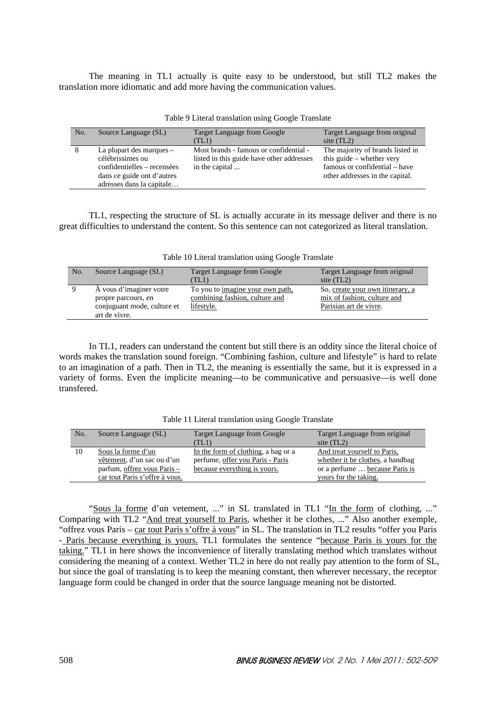The meaning in TL1 actually is quite easy to be understood, but still TL2 makes the translation more idiomatic and add more having the communication values.

| No. | Source Language (SL)                                                                                                                   | <b>Target Language from Google</b><br>(TL1)                                                           | Target Language from original<br>site $(TL2)$                                                                                       |
|-----|----------------------------------------------------------------------------------------------------------------------------------------|-------------------------------------------------------------------------------------------------------|-------------------------------------------------------------------------------------------------------------------------------------|
| 8   | La plupart des marques -<br>célébrissimes ou<br>confidentielles – recensées<br>dans ce guide ont d'autres<br>adresses dans la capitale | Most brands - famous or confidential -<br>listed in this guide have other addresses<br>in the capital | The majority of brands listed in<br>this guide $-$ whether very<br>famous or confidential – have<br>other addresses in the capital. |

Table 9 Literal translation using Google Translate

TL1, respecting the structure of SL is actually accurate in its message deliver and there is no great difficulties to understand the content. So this sentence can not categorized as literal translation.

| No. | Source Language (SL)        | Target Language from Google      | Target Language from original    |
|-----|-----------------------------|----------------------------------|----------------------------------|
|     |                             | TLI)                             | site $(TL2)$                     |
|     | A vous d'imaginer votre     | To you to imagine your own path, | So, create your own itinerary, a |
|     | propre parcours, en         | combining fashion, culture and   | mix of fashion, culture and      |
|     | conjuguant mode, culture et | lifestyle.                       | Parisian art de vivre.           |
|     | art de vivre.               |                                  |                                  |

Table 10 Literal translation using Google Translate

In TL1, readers can understand the content but still there is an oddity since the literal choice of words makes the translation sound foreign. "Combining fashion, culture and lifestyle" is hard to relate to an imagination of a path. Then in TL2, the meaning is essentially the same, but it is expressed in a variety of forms. Even the implicite meaning—to be communicative and persuasive—is well done transfered.

| No. | Source Language (SL)           | <b>Target Language from Google</b>  | Target Language from original    |
|-----|--------------------------------|-------------------------------------|----------------------------------|
|     |                                | (TL1)                               | site $(TL2)$                     |
| 10  | Sous la forme d'un             | In the form of clothing, a bag or a | And treat yourself to Paris,     |
|     | vêtement, d'un sac ou d'un     | perfume, offer you Paris - Paris    | whether it be clothes, a handbag |
|     | parfum, offrez vous Paris –    | because everything is yours.        | or a perfume  because Paris is   |
|     | car tout Paris s'offre à vous. |                                     | yours for the taking.            |

Table 11 Literal translation using Google Translate

"Sous la forme d'un vetement, ..." in SL translated in TL1 "In the form of clothing, ..." Comparing with TL2 "And treat yourself to Paris, whether it be clothes, ..." Also another exemple, "offrez vous Paris – car tout Paris s'offre à vous" in SL. The translation in TL2 results "offer you Paris - Paris because everything is yours. TL1 formulates the sentence "because Paris is yours for the taking." TL1 in here shows the inconvenience of literally translating method which translates without considering the meaning of a context. Wether TL2 in here do not really pay attention to the form of SL, but since the goal of translating is to keep the meaning constant, then wherever necessary, the receptor language form could be changed in order that the source language meaning not be distorted.